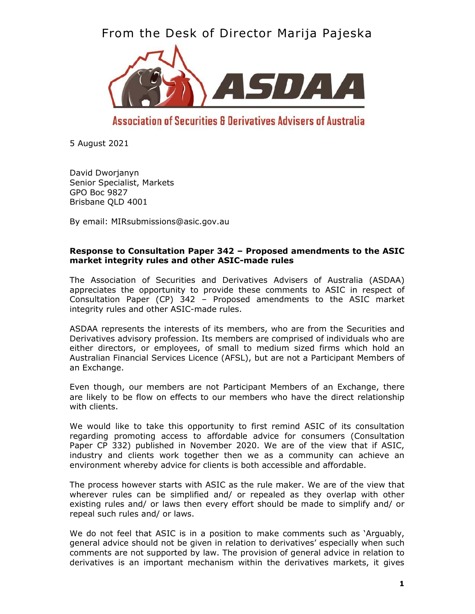From the Desk of Director Marija Pajeska



# Association of Securities & Derivatives Advisers of Australia

5 August 2021

David Dworjanyn Senior Specialist, Markets GPO Boc 9827 Brisbane QLD 4001

By email: MIRsubmissions@asic.gov.au

## **Response to Consultation Paper 342 – Proposed amendments to the ASIC market integrity rules and other ASIC-made rules**

The Association of Securities and Derivatives Advisers of Australia (ASDAA) appreciates the opportunity to provide these comments to ASIC in respect of Consultation Paper (CP) 342 – Proposed amendments to the ASIC market integrity rules and other ASIC-made rules.

ASDAA represents the interests of its members, who are from the Securities and Derivatives advisory profession. Its members are comprised of individuals who are either directors, or employees, of small to medium sized firms which hold an Australian Financial Services Licence (AFSL), but are not a Participant Members of an Exchange.

Even though, our members are not Participant Members of an Exchange, there are likely to be flow on effects to our members who have the direct relationship with clients.

We would like to take this opportunity to first remind ASIC of its consultation regarding promoting access to affordable advice for consumers (Consultation Paper CP 332) published in November 2020. We are of the view that if ASIC, industry and clients work together then we as a community can achieve an environment whereby advice for clients is both accessible and affordable.

The process however starts with ASIC as the rule maker. We are of the view that wherever rules can be simplified and/ or repealed as they overlap with other existing rules and/ or laws then every effort should be made to simplify and/ or repeal such rules and/ or laws.

We do not feel that ASIC is in a position to make comments such as 'Arguably, general advice should not be given in relation to derivatives' especially when such comments are not supported by law. The provision of general advice in relation to derivatives is an important mechanism within the derivatives markets, it gives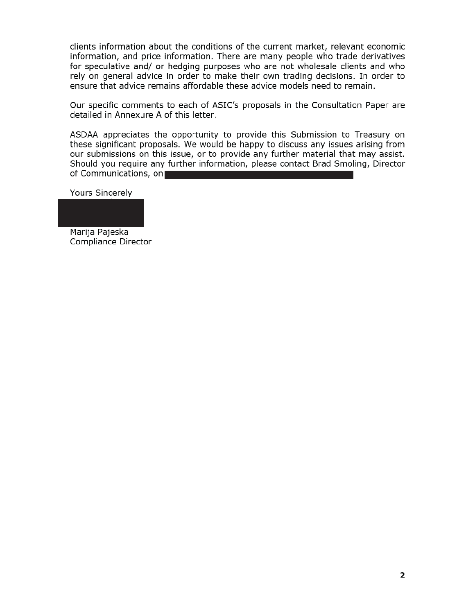clients information about the conditions of the current market, relevant economic information, and price information. There are many people who trade derivatives for speculative and/ or hedging purposes who are not wholesale clients and who rely on general advice in order to make their own trading decisions. In order to ensure that advice remains affordable these advice models need to remain.

Our specific comments to each of ASIC's proposals in the Consultation Paper are detailed in Annexure A of this letter.

ASDAA appreciates the opportunity to provide this Submission to Treasury on these significant proposals. We would be happy to discuss any issues arising from our submissions on this issue, or to provide any further material that may assist. Should you require any further information, please contact Brad Smoling, Director of Communications, on

Yours Sincerely

Marija Pajeska

Compliance Director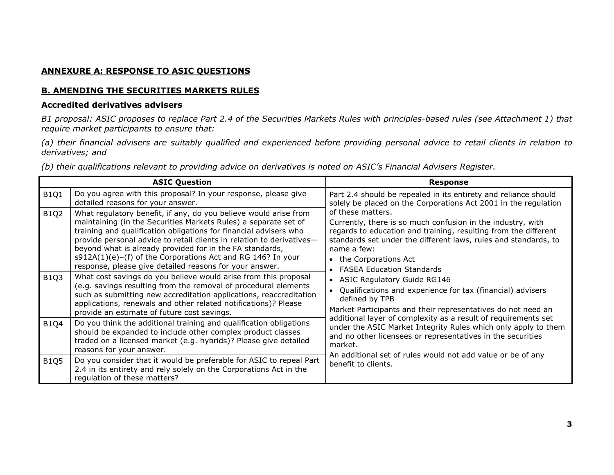# **ANNEXURE A: RESPONSE TO ASIC QUESTIONS**

## **B. AMENDING THE SECURITIES MARKETS RULES**

## **Accredited derivatives advisers**

*B1 proposal: ASIC proposes to replace Part 2.4 of the Securities Markets Rules with principles-based rules (see Attachment 1) that require market participants to ensure that:* 

*(a) their financial advisers are suitably qualified and experienced before providing personal advice to retail clients in relation to derivatives; and* 

*(b) their qualifications relevant to providing advice on derivatives is noted on ASIC's Financial Advisers Register.* 

| <b>ASIC Question</b> |                                                                                                                                                                                                                                                                                                                                                                                                                                                                            | <b>Response</b>                                                                                                                                                                                                                                                                                |
|----------------------|----------------------------------------------------------------------------------------------------------------------------------------------------------------------------------------------------------------------------------------------------------------------------------------------------------------------------------------------------------------------------------------------------------------------------------------------------------------------------|------------------------------------------------------------------------------------------------------------------------------------------------------------------------------------------------------------------------------------------------------------------------------------------------|
| <b>B1Q1</b>          | Do you agree with this proposal? In your response, please give<br>detailed reasons for your answer.                                                                                                                                                                                                                                                                                                                                                                        | Part 2.4 should be repealed in its entirety and reliance should<br>solely be placed on the Corporations Act 2001 in the regulation                                                                                                                                                             |
| <b>B1Q2</b>          | What regulatory benefit, if any, do you believe would arise from<br>maintaining (in the Securities Markets Rules) a separate set of<br>training and qualification obligations for financial advisers who<br>provide personal advice to retail clients in relation to derivatives-<br>beyond what is already provided for in the FA standards,<br>$s912A(1)(e)$ –(f) of the Corporations Act and RG 146? In your<br>response, please give detailed reasons for your answer. | of these matters.<br>Currently, there is so much confusion in the industry, with<br>regards to education and training, resulting from the different<br>standards set under the different laws, rules and standards, to<br>name a few:<br>• the Corporations Act<br>• FASEA Education Standards |
| <b>B1Q3</b>          | What cost savings do you believe would arise from this proposal<br>(e.g. savings resulting from the removal of procedural elements<br>such as submitting new accreditation applications, reaccreditation<br>applications, renewals and other related notifications)? Please<br>provide an estimate of future cost savings.                                                                                                                                                 | • ASIC Regulatory Guide RG146<br>• Qualifications and experience for tax (financial) advisers<br>defined by TPB<br>Market Participants and their representatives do not need an                                                                                                                |
| <b>B1Q4</b>          | Do you think the additional training and qualification obligations<br>should be expanded to include other complex product classes<br>traded on a licensed market (e.g. hybrids)? Please give detailed<br>reasons for your answer.                                                                                                                                                                                                                                          | additional layer of complexity as a result of requirements set<br>under the ASIC Market Integrity Rules which only apply to them<br>and no other licensees or representatives in the securities<br>market.                                                                                     |
| <b>B1Q5</b>          | Do you consider that it would be preferable for ASIC to repeal Part<br>2.4 in its entirety and rely solely on the Corporations Act in the<br>regulation of these matters?                                                                                                                                                                                                                                                                                                  | An additional set of rules would not add value or be of any<br>benefit to clients.                                                                                                                                                                                                             |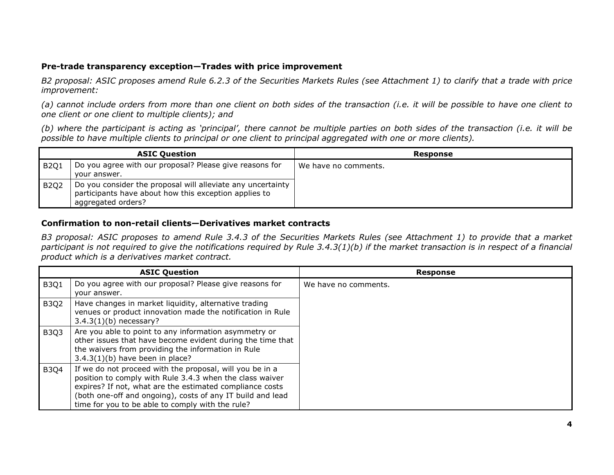## **Pre-trade transparency exception—Trades with price improvement**

*B2 proposal: ASIC proposes amend Rule 6.2.3 of the Securities Markets Rules (see Attachment 1) to clarify that a trade with price improvement:* 

*(a) cannot include orders from more than one client on both sides of the transaction (i.e. it will be possible to have one client to one client or one client to multiple clients); and* 

*(b) where the participant is acting as 'principal', there cannot be multiple parties on both sides of the transaction (i.e. it will be possible to have multiple clients to principal or one client to principal aggregated with one or more clients).* 

|             | <b>ASIC Question</b>                                                                                                                       | Response             |
|-------------|--------------------------------------------------------------------------------------------------------------------------------------------|----------------------|
| <b>B201</b> | Do you agree with our proposal? Please give reasons for<br>your answer.                                                                    | We have no comments. |
| <b>B2Q2</b> | Do you consider the proposal will alleviate any uncertainty<br>participants have about how this exception applies to<br>aggregated orders? |                      |

#### **Confirmation to non-retail clients—Derivatives market contracts**

*B3 proposal: ASIC proposes to amend Rule 3.4.3 of the Securities Markets Rules (see Attachment 1) to provide that a market participant is not required to give the notifications required by Rule 3.4.3(1)(b) if the market transaction is in respect of a financial product which is a derivatives market contract.* 

|             | <b>ASIC Question</b>                                                                                                                                                                                                                                                                               | <b>Response</b>      |
|-------------|----------------------------------------------------------------------------------------------------------------------------------------------------------------------------------------------------------------------------------------------------------------------------------------------------|----------------------|
| <b>B3Q1</b> | Do you agree with our proposal? Please give reasons for<br>your answer.                                                                                                                                                                                                                            | We have no comments. |
| <b>B3Q2</b> | Have changes in market liquidity, alternative trading<br>venues or product innovation made the notification in Rule<br>$3.4.3(1)(b)$ necessary?                                                                                                                                                    |                      |
| <b>B3Q3</b> | Are you able to point to any information asymmetry or<br>other issues that have become evident during the time that<br>the waivers from providing the information in Rule<br>$3.4.3(1)(b)$ have been in place?                                                                                     |                      |
| <b>B3Q4</b> | If we do not proceed with the proposal, will you be in a<br>position to comply with Rule 3.4.3 when the class waiver<br>expires? If not, what are the estimated compliance costs<br>(both one-off and ongoing), costs of any IT build and lead<br>time for you to be able to comply with the rule? |                      |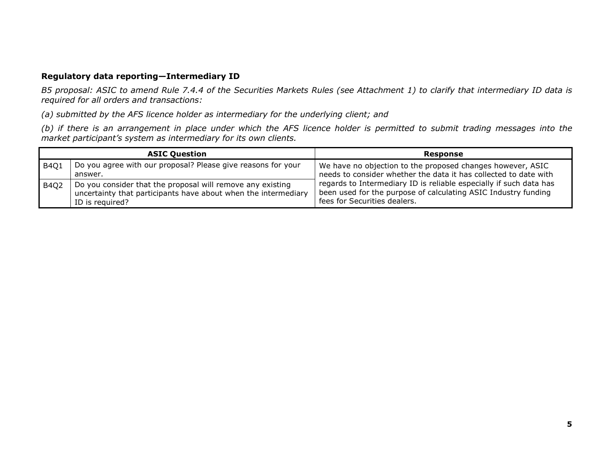# **Regulatory data reporting—Intermediary ID**

 *B5 proposal: ASIC to amend Rule 7.4.4 of the Securities Markets Rules (see Attachment 1) to clarify that intermediary ID data is required for all orders and transactions:* 

*(a) submitted by the AFS licence holder as intermediary for the underlying client; and* 

*(b) if there is an arrangement in place under which the AFS licence holder is permitted to submit trading messages into the market participant's system as intermediary for its own clients.* 

|             | <b>ASIC Question</b>                                                                                                                            | Response                                                                                                                                                             |
|-------------|-------------------------------------------------------------------------------------------------------------------------------------------------|----------------------------------------------------------------------------------------------------------------------------------------------------------------------|
| B4Q1        | Do you agree with our proposal? Please give reasons for your<br>answer.                                                                         | We have no objection to the proposed changes however, ASIC<br>needs to consider whether the data it has collected to date with                                       |
| <b>B4Q2</b> | Do you consider that the proposal will remove any existing<br>uncertainty that participants have about when the intermediary<br>ID is required? | regards to Intermediary ID is reliable especially if such data has<br>been used for the purpose of calculating ASIC Industry funding<br>fees for Securities dealers. |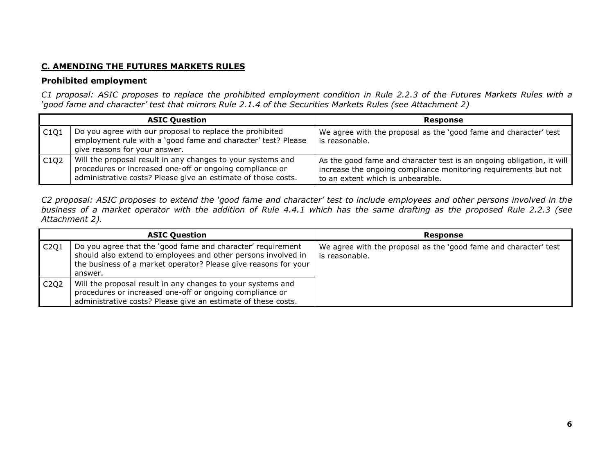# **C. AMENDING THE FUTURES MARKETS RULES**

# **Prohibited employment**

*C1 proposal: ASIC proposes to replace the prohibited employment condition in Rule 2.2.3 of the Futures Markets Rules with a 'good fame and character' test that mirrors Rule 2.1.4 of the Securities Markets Rules (see Attachment 2)* 

|                               | <b>ASIC Question</b>                                                                                                                                                                     | Response                                                                                                                                                                      |
|-------------------------------|------------------------------------------------------------------------------------------------------------------------------------------------------------------------------------------|-------------------------------------------------------------------------------------------------------------------------------------------------------------------------------|
| C1Q1                          | Do you agree with our proposal to replace the prohibited<br>employment rule with a 'good fame and character' test? Please<br>give reasons for your answer.                               | We agree with the proposal as the 'good fame and character' test<br>is reasonable.                                                                                            |
| C <sub>1</sub> Q <sub>2</sub> | Will the proposal result in any changes to your systems and<br>procedures or increased one-off or ongoing compliance or<br>administrative costs? Please give an estimate of those costs. | As the good fame and character test is an ongoing obligation, it will<br>increase the ongoing compliance monitoring requirements but not<br>to an extent which is unbearable. |

*C2 proposal: ASIC proposes to extend the 'good fame and character' test to include employees and other persons involved in the business of a market operator with the addition of Rule 4.4.1 which has the same drafting as the proposed Rule 2.2.3 (see Attachment 2).* 

|      | <b>ASIC Question</b>                                                                                                                                                                                       | <b>Response</b>                                                                    |
|------|------------------------------------------------------------------------------------------------------------------------------------------------------------------------------------------------------------|------------------------------------------------------------------------------------|
| C2Q1 | Do you agree that the 'good fame and character' requirement<br>should also extend to employees and other persons involved in<br>the business of a market operator? Please give reasons for your<br>answer. | We agree with the proposal as the 'good fame and character' test<br>is reasonable. |
| C2Q2 | Will the proposal result in any changes to your systems and<br>procedures or increased one-off or ongoing compliance or<br>administrative costs? Please give an estimate of these costs.                   |                                                                                    |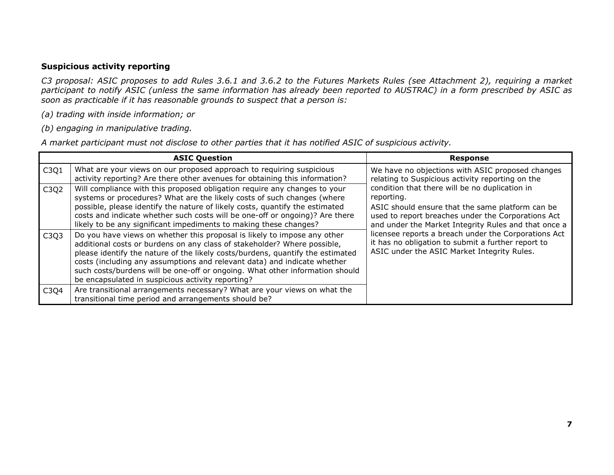# **Suspicious activity reporting**

 *C3 proposal: ASIC proposes to add Rules 3.6.1 and 3.6.2 to the Futures Markets Rules (see Attachment 2), requiring a market participant to notify ASIC (unless the same information has already been reported to AUSTRAC) in a form prescribed by ASIC as soon as practicable if it has reasonable grounds to suspect that a person is:* 

*(a) trading with inside information; or* 

*(b) engaging in manipulative trading.* 

*A market participant must not disclose to other parties that it has notified ASIC of suspicious activity.* 

|      | <b>ASIC Question</b>                                                                                                                                                                                                                                                                                                                                                                                                                                    | <b>Response</b>                                                                                                                                                                                                                |
|------|---------------------------------------------------------------------------------------------------------------------------------------------------------------------------------------------------------------------------------------------------------------------------------------------------------------------------------------------------------------------------------------------------------------------------------------------------------|--------------------------------------------------------------------------------------------------------------------------------------------------------------------------------------------------------------------------------|
| C3Q1 | What are your views on our proposed approach to requiring suspicious<br>activity reporting? Are there other avenues for obtaining this information?                                                                                                                                                                                                                                                                                                     | We have no objections with ASIC proposed changes<br>relating to Suspicious activity reporting on the                                                                                                                           |
| C3Q2 | Will compliance with this proposed obligation require any changes to your<br>systems or procedures? What are the likely costs of such changes (where<br>possible, please identify the nature of likely costs, quantify the estimated<br>costs and indicate whether such costs will be one-off or ongoing)? Are there<br>likely to be any significant impediments to making these changes?                                                               | condition that there will be no duplication in<br>reporting.<br>ASIC should ensure that the same platform can be<br>used to report breaches under the Corporations Act<br>and under the Market Integrity Rules and that once a |
| C3Q3 | Do you have views on whether this proposal is likely to impose any other<br>additional costs or burdens on any class of stakeholder? Where possible,<br>please identify the nature of the likely costs/burdens, quantify the estimated<br>costs (including any assumptions and relevant data) and indicate whether<br>such costs/burdens will be one-off or ongoing. What other information should<br>be encapsulated in suspicious activity reporting? | licensee reports a breach under the Corporations Act<br>it has no obligation to submit a further report to<br>ASIC under the ASIC Market Integrity Rules.                                                                      |
| C3Q4 | Are transitional arrangements necessary? What are your views on what the<br>transitional time period and arrangements should be?                                                                                                                                                                                                                                                                                                                        |                                                                                                                                                                                                                                |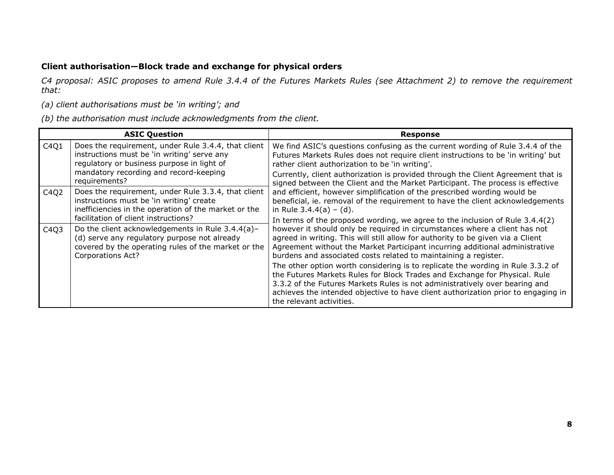# **Client authorisation—Block trade and exchange for physical orders**

*C4 proposal: ASIC proposes to amend Rule 3.4.4 of the Futures Markets Rules (see Attachment 2) to remove the requirement that:* 

*(a) client authorisations must be 'in writing'; and* 

*(b) the authorisation must include acknowledgments from the client.* 

| <b>ASIC Question</b> |                                                                                                                                                                                                             | Response                                                                                                                                                                                                                                                                                                                                                                                         |  |
|----------------------|-------------------------------------------------------------------------------------------------------------------------------------------------------------------------------------------------------------|--------------------------------------------------------------------------------------------------------------------------------------------------------------------------------------------------------------------------------------------------------------------------------------------------------------------------------------------------------------------------------------------------|--|
| C4Q1                 | Does the requirement, under Rule 3.4.4, that client<br>instructions must be 'in writing' serve any<br>regulatory or business purpose in light of<br>mandatory recording and record-keeping<br>requirements? | We find ASIC's questions confusing as the current wording of Rule 3.4.4 of the<br>Futures Markets Rules does not require client instructions to be 'in writing' but<br>rather client authorization to be 'in writing'.<br>Currently, client authorization is provided through the Client Agreement that is<br>signed between the Client and the Market Participant. The process is effective     |  |
| C4Q2                 | Does the requirement, under Rule 3.3.4, that client<br>instructions must be 'in writing' create<br>inefficiencies in the operation of the market or the<br>facilitation of client instructions?             | and efficient, however simplification of the prescribed wording would be<br>beneficial, ie. removal of the requirement to have the client acknowledgements<br>in Rule $3.4.4(a) - (d)$ .                                                                                                                                                                                                         |  |
| C4Q3                 | Do the client acknowledgements in Rule 3.4.4(a)-<br>(d) serve any regulatory purpose not already<br>covered by the operating rules of the market or the<br><b>Corporations Act?</b>                         | In terms of the proposed wording, we agree to the inclusion of Rule 3.4.4(2)<br>however it should only be required in circumstances where a client has not<br>agreed in writing. This will still allow for authority to be given via a Client<br>Agreement without the Market Participant incurring additional administrative<br>burdens and associated costs related to maintaining a register. |  |
|                      |                                                                                                                                                                                                             | The other option worth considering is to replicate the wording in Rule 3.3.2 of<br>the Futures Markets Rules for Block Trades and Exchange for Physical. Rule<br>3.3.2 of the Futures Markets Rules is not administratively over bearing and<br>achieves the intended objective to have client authorization prior to engaging in<br>the relevant activities.                                    |  |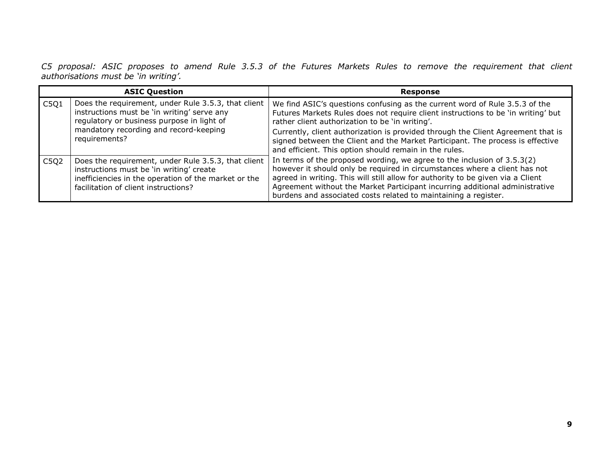C5 proposal: ASIC proposes to amend Rule 3.5.3 of the Futures Markets Rules to remove the requirement that client<br>authorisations must be 'in writing'.

|                   | <b>ASIC Question</b>                                                                                                                                                                            | <b>Response</b>                                                                                                                                                                                                                                                                                                                                                                               |
|-------------------|-------------------------------------------------------------------------------------------------------------------------------------------------------------------------------------------------|-----------------------------------------------------------------------------------------------------------------------------------------------------------------------------------------------------------------------------------------------------------------------------------------------------------------------------------------------------------------------------------------------|
| $\overline{C5Q1}$ | Does the requirement, under Rule 3.5.3, that client<br>instructions must be 'in writing' serve any<br>regulatory or business purpose in light of                                                | We find ASIC's questions confusing as the current word of Rule 3.5.3 of the<br>Futures Markets Rules does not require client instructions to be 'in writing' but<br>rather client authorization to be 'in writing'.                                                                                                                                                                           |
|                   | mandatory recording and record-keeping<br>requirements?                                                                                                                                         | Currently, client authorization is provided through the Client Agreement that is<br>signed between the Client and the Market Participant. The process is effective<br>and efficient. This option should remain in the rules.                                                                                                                                                                  |
| $\overline{C5Q2}$ | Does the requirement, under Rule 3.5.3, that client<br>instructions must be 'in writing' create<br>inefficiencies in the operation of the market or the<br>facilitation of client instructions? | In terms of the proposed wording, we agree to the inclusion of $3.5.3(2)$<br>however it should only be required in circumstances where a client has not<br>agreed in writing. This will still allow for authority to be given via a Client<br>Agreement without the Market Participant incurring additional administrative<br>burdens and associated costs related to maintaining a register. |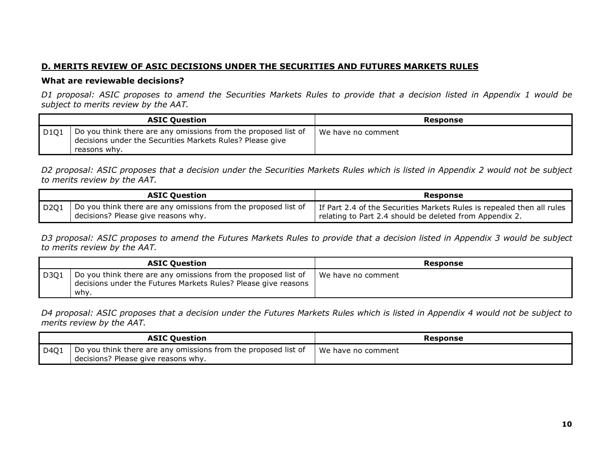# **D. MERITS REVIEW OF ASIC DECISIONS UNDER THE SECURITIES AND FUTURES MARKETS RULES**

#### **What are reviewable decisions?**

*D1 proposal: ASIC proposes to amend the Securities Markets Rules to provide that a decision listed in Appendix 1 would be subject to merits review by the AAT.* 

|                                       | <b>ASIC Question</b>                                                                                                                        | Response           |
|---------------------------------------|---------------------------------------------------------------------------------------------------------------------------------------------|--------------------|
| $\vert$ D <sub>1</sub> Q <sub>1</sub> | Do you think there are any omissions from the proposed list of<br>decisions under the Securities Markets Rules? Please give<br>reasons why. | We have no comment |

*D2 proposal: ASIC proposes that a decision under the Securities Markets Rules which is listed in Appendix 2 would not be subject to merits review by the AAT.* 

|      | <b>ASIC Question</b>                                                                                  | Response                                                                                                                          |
|------|-------------------------------------------------------------------------------------------------------|-----------------------------------------------------------------------------------------------------------------------------------|
| D201 | Do you think there are any omissions from the proposed list of<br>decisions? Please give reasons why. | If Part 2.4 of the Securities Markets Rules is repealed then all rules<br>relating to Part 2.4 should be deleted from Appendix 2. |

*D3 proposal: ASIC proposes to amend the Futures Markets Rules to provide that a decision listed in Appendix 3 would be subject to merits review by the AAT.* 

|                     | <b>ASIC Question</b>                                                                                                                     | Response             |
|---------------------|------------------------------------------------------------------------------------------------------------------------------------------|----------------------|
| $\overline{0}$ D3Q1 | Do you think there are any omissions from the proposed list of<br>decisions under the Futures Markets Rules? Please give reasons<br>whv. | l We have no comment |

*D4 proposal: ASIC proposes that a decision under the Futures Markets Rules which is listed in Appendix 4 would not be subject to merits review by the AAT.* 

|      | <b>ASIC Ouestion</b>                                                                                  | Response           |
|------|-------------------------------------------------------------------------------------------------------|--------------------|
| D401 | Do you think there are any omissions from the proposed list of<br>decisions? Please give reasons why. | We have no comment |